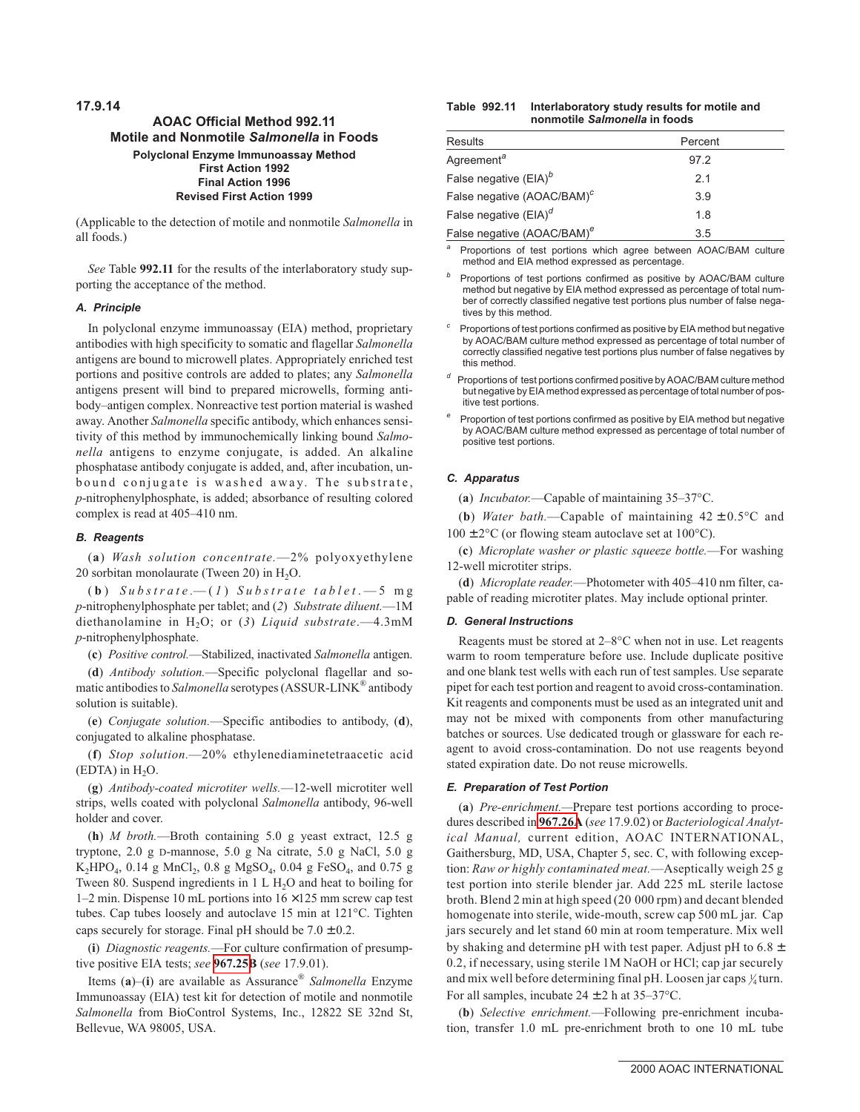# **AOAC Official Method 992.11 Motile and Nonmotile Salmonella in Foods Polyclonal Enzyme Immunoassay Method First Action 1992 Final Action 1996 Revised First Action 1999**

(Applicable to the detection of motile and nonmotile *Salmonella* in all foods.)

*See* Table **992.11** for the results of the interlaboratory study supporting the acceptance of the method.

## **A. Principle**

In polyclonal enzyme immunoassay (EIA) method, proprietary antibodies with high specificity to somatic and flagellar *Salmonella* antigens are bound to microwell plates. Appropriately enriched test portions and positive controls are added to plates; any *Salmonella* antigens present will bind to prepared microwells, forming antibody–antigen complex. Nonreactive test portion material is washed away. Another *Salmonella* specific antibody, which enhances sensitivity of this method by immunochemically linking bound *Salmonella* antigens to enzyme conjugate, is added. An alkaline phosphatase antibody conjugate is added, and, after incubation, unbound conjugate is washed away. The substrate, *p*-nitrophenylphosphate, is added; absorbance of resulting colored complex is read at 405–410 nm.

## **B. Reagents**

(**a**) *Wash solution concentrate.*—2% polyoxyethylene 20 sorbitan monolaurate (Tween 20) in  $H_2O$ .

( **b** ) *Substrate.*— ( *1* ) *Substrate tablet* .—5 mg *p*-nitrophenylphosphate per tablet; and (*2*) *Substrate diluent.*—1M diethanolamine in H2O; or (*3*) *Liquid substrate*.—4.3mM *p*-nitrophenylphosphate.

(**c**) *Positive control.*—Stabilized, inactivated *Salmonella* antigen.

(**d**) *Antibody solution.*—Specific polyclonal flagellar and somatic antibodies to *Salmonella* serotypes (ASSUR-LINK® antibody solution is suitable).

(**e**) *Conjugate solution.*—Specific antibodies to antibody, (**d**), conjugated to alkaline phosphatase.

(**f**) *Stop solution.*—20% ethylenediaminetetraacetic acid  $(EDTA)$  in  $H<sub>2</sub>O$ .

(**g**) *Antibody-coated microtiter wells.*—12-well microtiter well strips, wells coated with polyclonal *Salmonella* antibody, 96-well holder and cover.

(**h**) *M broth.*—Broth containing 5.0 g yeast extract, 12.5 g tryptone, 2.0 g D-mannose, 5.0 g Na citrate, 5.0 g NaCl, 5.0 g  $K_2HPO_4$ , 0.14 g MnCl<sub>2</sub>, 0.8 g MgSO<sub>4</sub>, 0.04 g FeSO<sub>4</sub>, and 0.75 g Tween 80. Suspend ingredients in  $1 L H<sub>2</sub>O$  and heat to boiling for 1–2 min. Dispense 10 mL portions into  $16 \times 125$  mm screw cap test tubes. Cap tubes loosely and autoclave 15 min at 121°C. Tighten caps securely for storage. Final pH should be  $7.0 \pm 0.2$ .

(**i**) *Diagnostic reagents.*—For culture confirmation of presumptive positive EIA tests; *see* **967.25B** (*see* 17.9.01).

Items (**a**)–(**i**) are available as Assurance® *Salmonella* Enzyme Immunoassay (EIA) test kit for detection of motile and nonmotile *Salmonella* from BioControl Systems, Inc., 12822 SE 32nd St, Bellevue, WA 98005, USA.

| Table 992.11 | Interlaboratory study results for motile and |  |
|--------------|----------------------------------------------|--|
|              | nonmotile Salmonella in foods                |  |

| Results                                | Percent |
|----------------------------------------|---------|
| Agreement <sup>a</sup>                 | 97.2    |
| False negative $(EIA)^b$               | 2.1     |
| False negative (AOAC/BAM) <sup>c</sup> | 3.9     |
| False negative $(EIA)^d$               | 1.8     |
| False negative (AOAC/BAM) <sup>e</sup> | 3.5     |

Proportions of test portions which agree between AOAC/BAM culture method and EIA method expressed as percentage.

Proportions of test portions confirmed as positive by AOAC/BAM culture method but negative by EIA method expressed as percentage of total number of correctly classified negative test portions plus number of false negatives by this method.

Proportions of test portions confirmed as positive by EIA method but negative by AOAC/BAM culture method expressed as percentage of total number of correctly classified negative test portions plus number of false negatives by this method.

- *<sup>d</sup>* Proportions of test portions confirmed positive by AOAC/BAM culture method but negative by EIA method expressed as percentage of total number of positive test portions.
- Proportion of test portions confirmed as positive by EIA method but negative by AOAC/BAM culture method expressed as percentage of total number of positive test portions.

### **C. Apparatus**

(**a**) *Incubator.*—Capable of maintaining 35–37°C.

(**b**) *Water bath.*—Capable of maintaining  $42 \pm 0.5$ °C and

 $100 \pm 2^{\circ}$ C (or flowing steam autoclave set at  $100^{\circ}$ C).

(**c**) *Microplate washer or plastic squeeze bottle.*—For washing 12-well microtiter strips.

(**d**) *Microplate reader.*—Photometer with 405–410 nm filter, capable of reading microtiter plates. May include optional printer.

### **D. General Instructions**

Reagents must be stored at 2–8°C when not in use. Let reagents warm to room temperature before use. Include duplicate positive and one blank test wells with each run of test samples. Use separate pipet for each test portion and reagent to avoid cross-contamination. Kit reagents and components must be used as an integrated unit and may not be mixed with components from other manufacturing batches or sources. Use dedicated trough or glassware for each reagent to avoid cross-contamination. Do not use reagents beyond stated expiration date. Do not reuse microwells.

## **E. Preparation of Test Portion**

(**a**) *Pre-enrichment.—*Prepare test portions according to procedures described in **967.26A** (*see* 17.9.02) or *Bacteriological Analytical Manual,* current edition, AOAC INTERNATIONAL, Gaithersburg, MD, USA, Chapter 5, sec. C, with following exception: *Raw or highly contaminated meat.*—Aseptically weigh 25 g test portion into sterile blender jar. Add 225 mL sterile lactose broth. Blend 2 min at high speed (20 000 rpm) and decant blended homogenate into sterile, wide-mouth, screw cap 500 mL jar. Cap jars securely and let stand 60 min at room temperature. Mix well by shaking and determine pH with test paper. Adjust pH to 6.8 ± 0.2, if necessary, using sterile 1M NaOH or HCl; cap jar securely and mix well before determining final pH. Loosen jar caps  $\frac{1}{4}$ turn. For all samples, incubate  $24 \pm 2$  h at  $35-37$ °C.

(**b**) *Selective enrichment.*—Following pre-enrichment incubation, transfer 1.0 mL pre-enrichment broth to one 10 mL tube